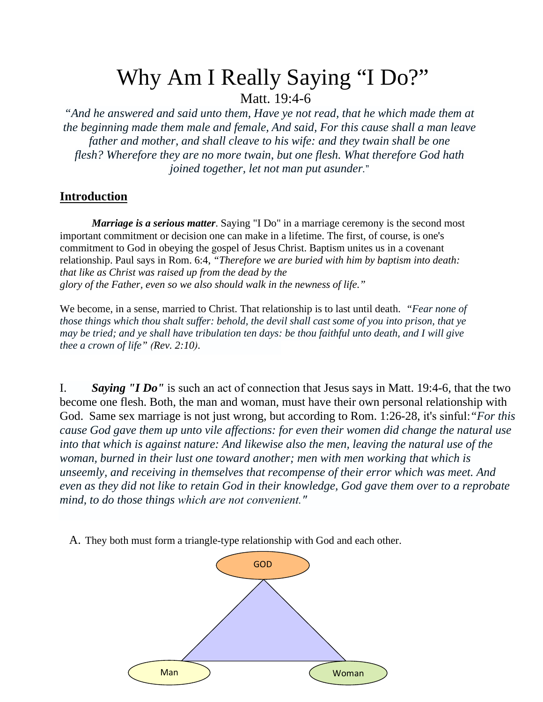## Why Am I Really Saying "I Do?" Matt. 19:4-6

*"And he answered and said unto them, Have ye not read, that he which made them at the beginning made them male and female, And said, For this cause shall a man leave father and mother, and shall cleave to his wife: and they twain shall be one flesh? Wherefore they are no more twain, but one flesh. What therefore God hath joined together, let not man put asunder.*"

## **Introduction**

*Marriage is a serious matter*. Saying "I Do" in a marriage ceremony is the second most important commitment or decision one can make in a lifetime. The first, of course, is one's commitment to God in obeying the gospel of Jesus Christ. Baptism unites us in a covenant relationship. Paul says in Rom. 6:4, *"Therefore we are buried with him by baptism into death: that like as Christ was raised up from the dead by the glory of the Father, even so we also should walk in the newness of life."*

We become, in a sense, married to Christ. That relationship is to last until death. *"Fear none of those things which thou shalt suffer: behold, the devil shall cast some of you into prison, that ye may be tried; and ye shall have tribulation ten days: be thou faithful unto death, and I will give thee a crown of life" (Rev. 2:10).*

I. *Saying "I Do"* is such an act of connection that Jesus says in Matt. 19:4-6, that the two become one flesh. Both, the man and woman, must have their own personal relationship with God. Same sex marriage is not just wrong, but according to Rom. 1:26-28, it's sinful:*"For this cause God gave them up unto vile affections: for even their women did change the natural use into that which is against nature: And likewise also the men, leaving the natural use of the woman, burned in their lust one toward another; men with men working that which is unseemly, and receiving in themselves that recompense of their error which was meet. And even as they did not like to retain God in their knowledge, God gave them over to a reprobate mind, to do those things which are not convenient."*

A. They both must form a triangle-type relationship with God and each other.

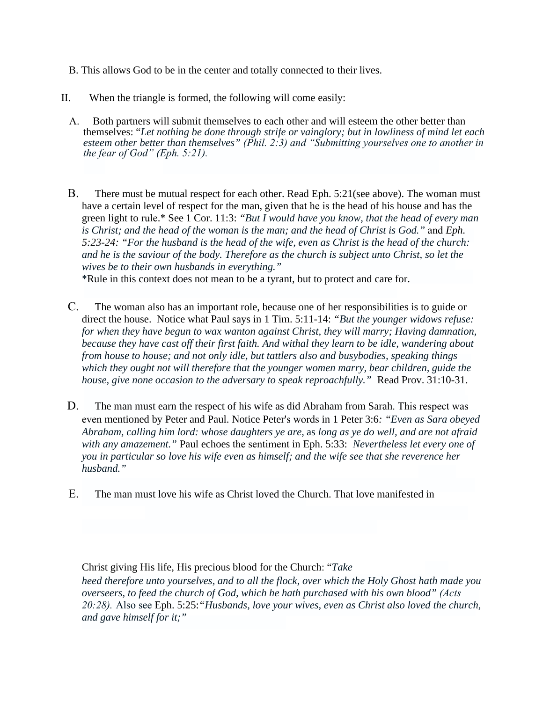- B. This allows God to be in the center and totally connected to their lives.
- II. When the triangle is formed, the following will come easily:
	- A. Both partners will submit themselves to each other and will esteem the other better than themselves: "*Let nothing be done through strife or vainglory; but in lowliness of mind let each esteem other better than themselves" (Phil. 2:3) and "Submitting yourselves one to another in the fear of God" (Eph. 5:21).*
	- B. There must be mutual respect for each other. Read Eph. 5:21(see above). The woman must have a certain level of respect for the man, given that he is the head of his house and has the green light to rule.\* See 1 Cor. 11:3: *"But I would have you know, that the head of every man is Christ; and the head of the woman is the man; and the head of Christ is God."* and *Eph. 5:23-24: "For the husband is the head of the wife, even as Christ is the head of the church: and he is the saviour of the body. Therefore as the church is subject unto Christ, so let the wives be to their own husbands in everything."*

\*Rule in this context does not mean to be a tyrant, but to protect and care for.

- C. The woman also has an important role, because one of her responsibilities is to guide or direct the house. Notice what Paul says in 1 Tim. 5:11-14: *"But the younger widows refuse: for when they have begun to wax wanton against Christ, they will marry; Having damnation, because they have cast off their first faith. And withal they learn to be idle, wandering about from house to house; and not only idle, but tattlers also and busybodies, speaking things which they ought not will therefore that the younger women marry, bear children, guide the house, give none occasion to the adversary to speak reproachfully."* Read Prov. 31:10-31.
- D. The man must earn the respect of his wife as did Abraham from Sarah. This respect was even mentioned by Peter and Paul. Notice Peter's words in 1 Peter 3:6*: "Even as Sara obeyed Abraham, calling him lord: whose daughters ye are,* as *long as ye do well, and are not afraid with any amazement."* Paul echoes the sentiment in Eph. 5:33: *Nevertheless let every one of you in particular so love his wife even as himself; and the wife see that she reverence her husband."*
- E. The man must love his wife as Christ loved the Church. That love manifested in

Christ giving His life, His precious blood for the Church: "*Take*

*heed therefore unto yourselves, and to all the flock, over which the Holy Ghost hath made you overseers, to feed the church of God, which he hath purchased with his own blood" (Acts 20:28).* Also see Eph. 5:25:*"Husbands, love your wives, even as Christ also loved the church, and gave himself for it;"*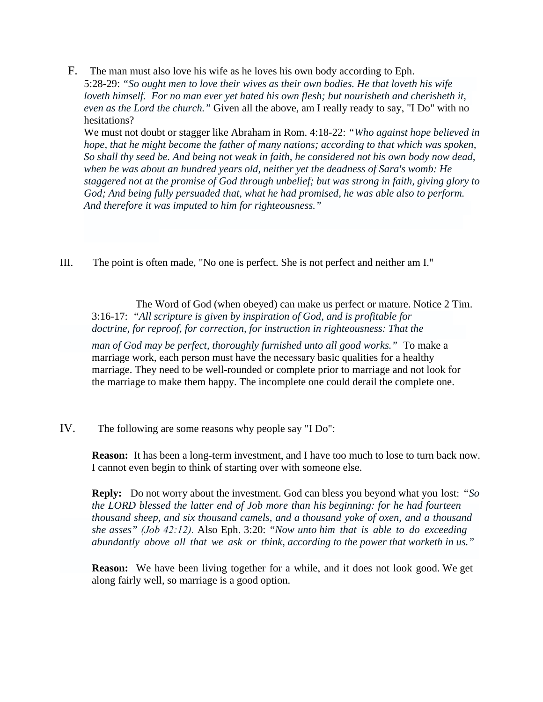F. The man must also love his wife as he loves his own body according to Eph. 5:28-29: *"So ought men to love their wives as their own bodies. He that loveth his wife loveth himself. For no man ever yet hated his own flesh; but nourisheth and cherisheth it, even as the Lord the church."* Given all the above, am I really ready to say, "I Do" with no hesitations?

We must not doubt or stagger like Abraham in Rom. 4:18-22: *"Who against hope believed in hope, that he might become the father of many nations; according to that which was spoken, So shall thy seed be. And being not weak in faith, he considered not his own body now dead, when he was about an hundred years old, neither yet the deadness of Sara's womb: He staggered not at the promise of God through unbelief; but was strong in faith, giving glory to God; And being fully persuaded that, what he had promised, he was able also to perform. And therefore it was imputed to him for righteousness."*

III. The point is often made, "No one is perfect. She is not perfect and neither am I."

The Word of God (when obeyed) can make us perfect or mature. Notice 2 Tim. 3:16-17: *"All scripture is given by inspiration of God, and is profitable for doctrine, for reproof, for correction, for instruction in righteousness: That the*

*man of God may be perfect, thoroughly furnished unto all good works."* To make a marriage work, each person must have the necessary basic qualities for a healthy marriage. They need to be well-rounded or complete prior to marriage and not look for the marriage to make them happy. The incomplete one could derail the complete one.

IV. The following are some reasons why people say "I Do":

**Reason:** It has been a long-term investment, and I have too much to lose to turn back now. I cannot even begin to think of starting over with someone else.

**Reply:** Do not worry about the investment. God can bless you beyond what you lost: *"So the LORD blessed the latter end of Job more than his beginning: for he had fourteen thousand sheep, and six thousand camels, and a thousand yoke of oxen, and a thousand she asses" (Job 42:12).* Also Eph. 3:20: *"Now unto him that is able to do exceeding abundantly above all that we ask or think, according to the power that worketh in us."*

**Reason:** We have been living together for a while, and it does not look good. We get along fairly well, so marriage is a good option.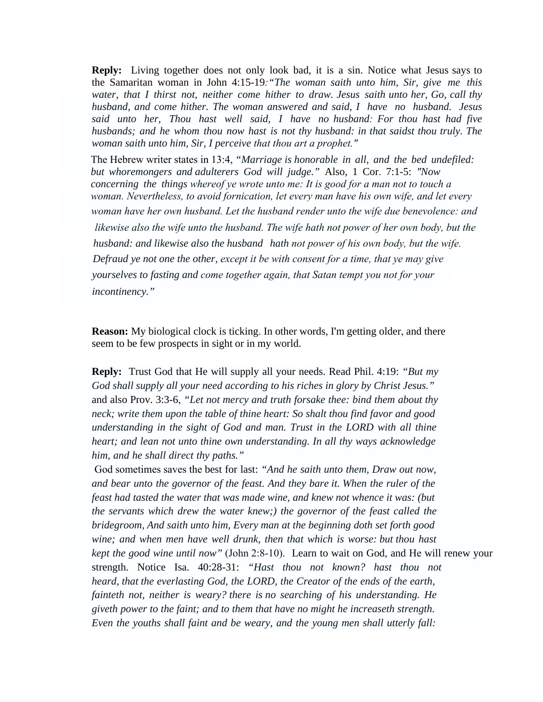**Reply:** Living together does not only look bad, it is a sin. Notice what Jesus says to the Samaritan woman in John 4:15-19*:"The woman saith unto him, Sir, give me this water, that I thirst not, neither come hither to draw. Jesus saith unto her, Go, call thy husband, and come hither. The woman answered and said, I have no husband. Jesus said unto her, Thou hast well said, I have no husband: For thou hast had five husbands; and he whom thou now hast is not thy husband: in that saidst thou truly. The woman saith unto him, Sir, I perceive that thou art a prophet."*

The Hebrew writer states in 13:4, *"Marriage is honorable in all, and the bed undefiled: but whoremongers and adulterers God will judge."* Also, 1 Cor. 7:1-5: *"Now concerning the things whereof ye wrote unto me: It is good for a man not to touch a woman. Nevertheless, to avoid fornication, let every man have his own wife, and let every woman have her own husband. Let the husband render unto the wife due benevolence: and likewise also the wife unto the husband. The wife hath not power of her own body, but the husband: and likewise also the husband hath not power of his own body, but the wife. Defraud ye not one the other, except it be with consent for a time, that ye may give yourselves to fasting and come together again, that Satan tempt you not for your incontinency."*

**Reason:** My biological clock is ticking. In other words, I'm getting older, and there seem to be few prospects in sight or in my world.

**Reply:** Trust God that He will supply all your needs. Read Phil. 4:19: *"But my God shall supply all your need according to his riches in glory by Christ Jesus."* and also Prov. 3:3-6, *"Let not mercy and truth forsake thee: bind them about thy neck; write them upon the table of thine heart: So shalt thou find favor and good understanding in the sight of God and man. Trust in the LORD with all thine heart; and lean not unto thine own understanding. In all thy ways acknowledge him, and he shall direct thy paths."*

 God sometimes saves the best for last: *"And he saith unto them, Draw out now, and bear unto the governor of the feast. And they bare it. When the ruler of the feast had tasted the water that was made wine, and knew not whence it was: (but the servants which drew the water knew;) the governor of the feast called the bridegroom, And saith unto him, Every man at the beginning doth set forth good wine; and when men have well drunk, then that which is worse: but thou hast kept the good wine until now"* (John 2:8-10). Learn to wait on God, and He will renew your strength. Notice Isa. 40:28-31: *"Hast thou not known? hast thou not heard, that the everlasting God, the LORD, the Creator of the ends of the earth, fainteth not, neither is weary? there is no searching of his understanding. He giveth power to the faint; and to them that have no might he increaseth strength. Even the youths shall faint and be weary, and the young men shall utterly fall:*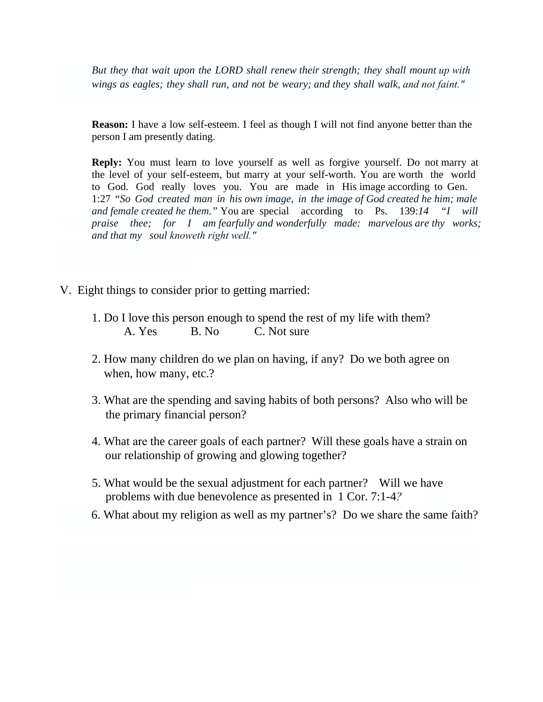*But they that wait upon the LORD shall renew their strength; they shall mount up with wings as eagles; they shall run, and not be weary; and they shall walk, and not faint."*

**Reason:** I have a low self-esteem. I feel as though I will not find anyone better than the person I am presently dating.

**Reply:** You must learn to love yourself as well as forgive yourself. Do not marry at the level of your self-esteem, but marry at your self-worth. You are worth the world to God. God really loves you. You are made in His image according to Gen. 1:27 "*So God created man in his own image, in the image of God created he him; male and female created he them."* You are special according to Ps. 139:*14 "I will praise thee; for I am fearfully and wonderfully made: marvelous are thy works; and that my soul knoweth right well."*

- V. Eight things to consider prior to getting married:
- 1. Do I love this person enough to spend the rest of my life with them?<br>
1. Do I love this person enough to spend the rest of my life with them?<br>
A. Yes B. No C. Not sure gs to consider prior to getting married:<br>
I love this person enough to spend the rest of m<br>
A. Yes B. No C. Not sure
	- 2. How many children do we plan on having, if any? Do we both agree on<br>when, how many, etc.? when, how many, etc.?
	- 3. What are the spending and saving habits of both persons? Also who will be the primary financial person? the primary financial person?
	- 4. What are the career goals of each partner? Will these goals have a strain on our relationship of growing and glowing together? the primary financial person?<br>
	4. What are the career goals of each partner? Will these goals have a strain on<br>
	our relationship of growing and glowing together?<br>
	5. What would be the sexual adjustment for each partner? Wi
	- problems with due benevolence as presented in 1 Cor. 7:1-4*?*
	- 6. What about my religion as well as my partner's? Do we share the same faith?